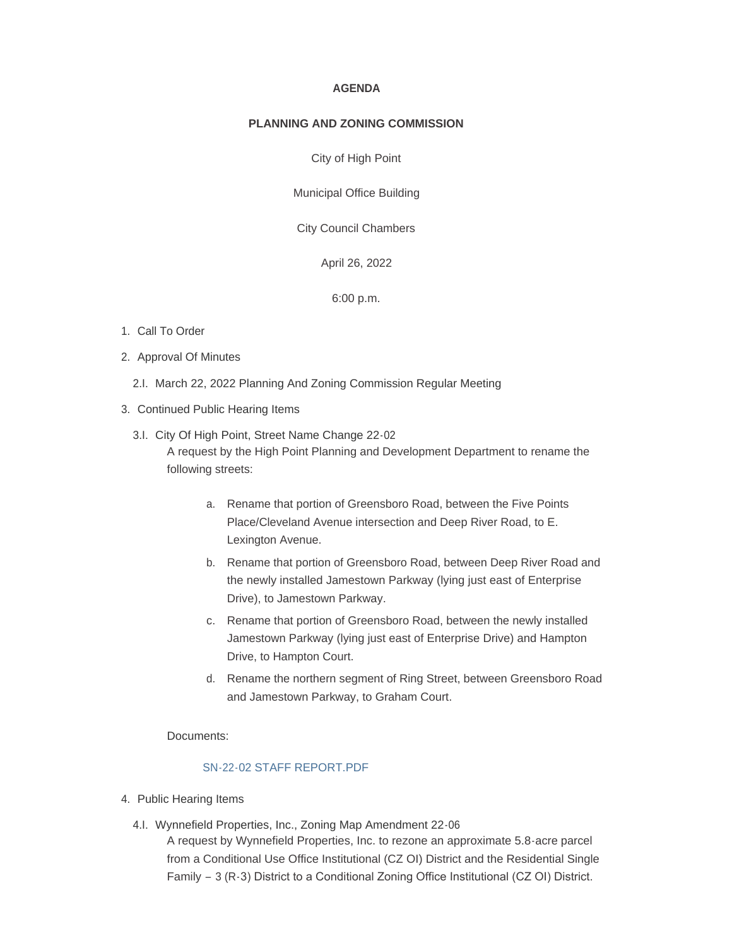#### **AGENDA**

#### **PLANNING AND ZONING COMMISSION**

City of High Point

Municipal Office Building

City Council Chambers

April 26, 2022

6:00 p.m.

### 1. Call To Order

- 2. Approval Of Minutes
	- 2.I. March 22, 2022 Planning And Zoning Commission Regular Meeting
- 3. Continued Public Hearing Items
	- 3.I. City Of High Point, Street Name Change 22-02 A request by the High Point Planning and Development Department to rename the following streets:
		- a. Rename that portion of Greensboro Road, between the Five Points Place/Cleveland Avenue intersection and Deep River Road, to E. Lexington Avenue.
		- b. Rename that portion of Greensboro Road, between Deep River Road and the newly installed Jamestown Parkway (lying just east of Enterprise Drive), to Jamestown Parkway.
		- c. Rename that portion of Greensboro Road, between the newly installed Jamestown Parkway (lying just east of Enterprise Drive) and Hampton Drive, to Hampton Court.
		- d. Rename the northern segment of Ring Street, between Greensboro Road and Jamestown Parkway, to Graham Court.

Documents:

### SN-22-02 STAFF REPORT PDF

- 4. Public Hearing Items
	- 4.I. Wynnefield Properties, Inc., Zoning Map Amendment 22-06
		- A request by Wynnefield Properties, Inc. to rezone an approximate 5.8-acre parcel from a Conditional Use Office Institutional (CZ OI) District and the Residential Single Family – 3 (R-3) District to a Conditional Zoning Office Institutional (CZ OI) District.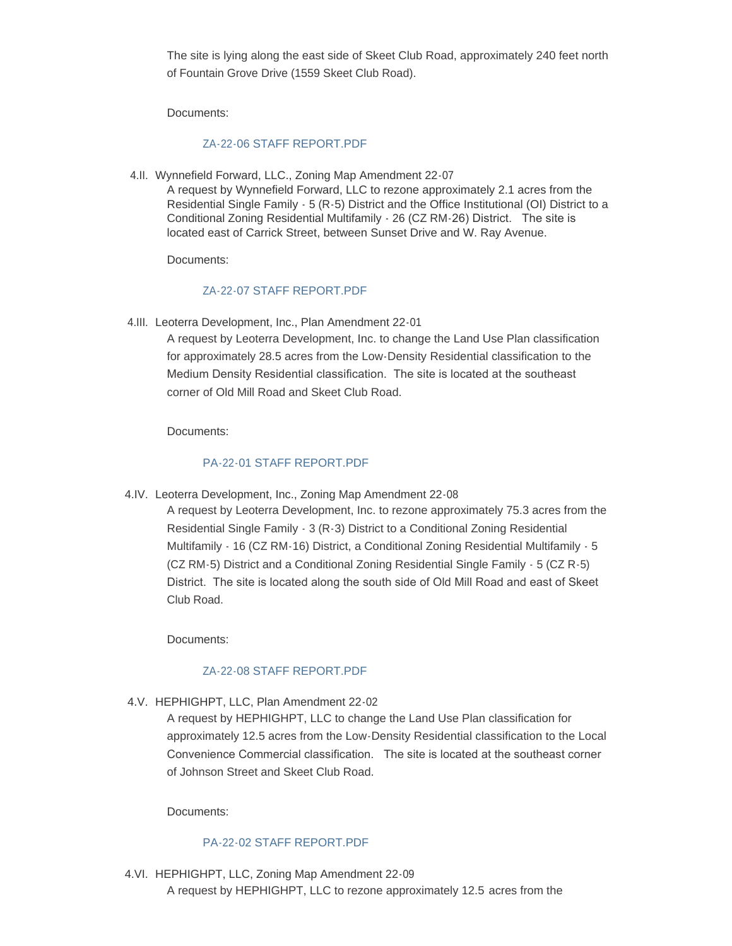The site is lying along the east side of Skeet Club Road, approximately 240 feet north of Fountain Grove Drive (1559 Skeet Club Road).

Documents:

### [ZA-22-06 STAFF REPORT.PDF](https://www.highpointnc.gov/AgendaCenter/ViewFile/Item/1562?fileID=57479)

4.II. Wynnefield Forward, LLC., Zoning Map Amendment 22-07 A request by Wynnefield Forward, LLC to rezone approximately 2.1 acres from the Residential Single Family - 5 (R-5) District and the Office Institutional (OI) District to a Conditional Zoning Residential Multifamily - 26 (CZ RM-26) District. The site is located east of Carrick Street, between Sunset Drive and W. Ray Avenue.

Documents:

### [ZA-22-07 STAFF REPORT.PDF](https://www.highpointnc.gov/AgendaCenter/ViewFile/Item/1563?fileID=57478)

4.III. Leoterra Development, Inc., Plan Amendment 22-01

A request by Leoterra Development, Inc. to change the Land Use Plan classification for approximately 28.5 acres from the Low-Density Residential classification to the Medium Density Residential classification. The site is located at the southeast corner of Old Mill Road and Skeet Club Road.

Documents:

### [PA-22-01 STAFF REPORT.PDF](https://www.highpointnc.gov/AgendaCenter/ViewFile/Item/1564?fileID=57480)

4.IV. Leoterra Development, Inc., Zoning Map Amendment 22-08

A request by Leoterra Development, Inc. to rezone approximately 75.3 acres from the Residential Single Family - 3 (R-3) District to a Conditional Zoning Residential Multifamily - 16 (CZ RM-16) District, a Conditional Zoning Residential Multifamily - 5 (CZ RM-5) District and a Conditional Zoning Residential Single Family - 5 (CZ R-5) District. The site is located along the south side of Old Mill Road and east of Skeet Club Road.

Documents:

## [ZA-22-08 STAFF REPORT.PDF](https://www.highpointnc.gov/AgendaCenter/ViewFile/Item/1565?fileID=57481)

4.V. HEPHIGHPT, LLC, Plan Amendment 22-02

A request by HEPHIGHPT, LLC to change the Land Use Plan classification for approximately 12.5 acres from the Low-Density Residential classification to the Local Convenience Commercial classification. The site is located at the southeast corner of Johnson Street and Skeet Club Road.

Documents:

### [PA-22-02 STAFF REPORT.PDF](https://www.highpointnc.gov/AgendaCenter/ViewFile/Item/1566?fileID=57482)

4.VI. HEPHIGHPT, LLC, Zoning Map Amendment 22-09 A request by HEPHIGHPT, LLC to rezone approximately 12.5 acres from the